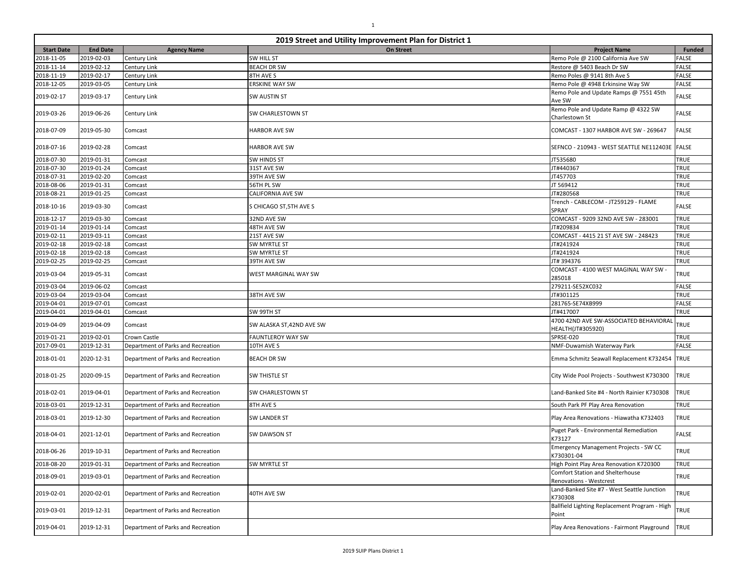| 2019 Street and Utility Improvement Plan for District 1 |                 |                                    |                          |                                                             |               |
|---------------------------------------------------------|-----------------|------------------------------------|--------------------------|-------------------------------------------------------------|---------------|
| <b>Start Date</b>                                       | <b>End Date</b> | <b>Agency Name</b>                 | <b>On Street</b>         | <b>Project Name</b>                                         | <b>Funded</b> |
| 2018-11-05                                              | 2019-02-03      | Century Link                       | SW HILL ST               | Remo Pole @ 2100 California Ave SW                          | <b>FALSE</b>  |
| 2018-11-14                                              | 2019-02-12      | Century Link                       | <b>BEACH DR SW</b>       | Restore @ 5403 Beach Dr SW                                  | <b>FALSE</b>  |
| 2018-11-19                                              | 2019-02-17      | Century Link                       | 8TH AVE S                | Remo Poles @ 9141 8th Ave S                                 | <b>FALSE</b>  |
| 2018-12-05                                              | 2019-03-05      | Century Link                       | <b>ERSKINE WAY SW</b>    | Remo Pole @ 4948 Erkinsine Way SW                           | <b>FALSE</b>  |
| 2019-02-17                                              | 2019-03-17      | Century Link                       | SW AUSTIN ST             | Remo Pole and Update Ramps @ 7551 45th<br>Ave SW            | FALSE         |
| 2019-03-26                                              | 2019-06-26      | Century Link                       | SW CHARLESTOWN ST        | Remo Pole and Update Ramp @ 4322 SW<br>Charlestown St       | <b>FALSE</b>  |
| 2018-07-09                                              | 2019-05-30      | Comcast                            | <b>HARBOR AVE SW</b>     | COMCAST - 1307 HARBOR AVE SW - 269647                       | <b>FALSE</b>  |
| 2018-07-16                                              | 2019-02-28      | Comcast                            | <b>HARBOR AVE SW</b>     | SEFNCO - 210943 - WEST SEATTLE NE112403E                    | <b>FALSE</b>  |
| 2018-07-30                                              | 2019-01-31      | Comcast                            | <b>SW HINDS ST</b>       | JT535680                                                    | <b>TRUE</b>   |
| 2018-07-30                                              | 2019-01-24      | Comcast                            | 31ST AVE SW              | JT#440367                                                   | <b>TRUE</b>   |
| 2018-07-31                                              | 2019-02-20      | Comcast                            | 39TH AVE SW              | JT457703                                                    | <b>TRUE</b>   |
| 2018-08-06                                              | 2019-01-31      | Comcast                            | 56TH PL SW               | JT 569412                                                   | <b>TRUE</b>   |
| 2018-08-21                                              | 2019-01-25      | Comcast                            | CALIFORNIA AVE SW        | JT#280568                                                   | <b>TRUE</b>   |
| 2018-10-16                                              | 2019-03-30      | Comcast                            | S CHICAGO ST, 5TH AVE S  | Trench - CABLECOM - JT259129 - FLAME<br>SPRAY               | FALSE         |
| 2018-12-17                                              | 2019-03-30      | Comcast                            | 32ND AVE SW              | COMCAST - 9209 32ND AVE SW - 283001                         | <b>TRUE</b>   |
| 2019-01-14                                              | 2019-01-14      | Comcast                            | 48TH AVE SW              | JT#209834                                                   | TRUE          |
| 2019-02-11                                              | 2019-03-11      | Comcast                            | 21ST AVE SW              | COMCAST - 4415 21 ST AVE SW - 248423                        | <b>TRUE</b>   |
| 2019-02-18                                              | 2019-02-18      | Comcast                            | SW MYRTLE ST             | JT#241924                                                   | <b>TRUE</b>   |
| 2019-02-18                                              | 2019-02-18      | Comcast                            | SW MYRTLE ST             | JT#241924                                                   | <b>TRUE</b>   |
| 2019-02-25                                              | 2019-02-25      | Comcast                            | 39TH AVE SW              | JT# 394376                                                  | TRUE          |
| 2019-03-04                                              | 2019-05-31      | Comcast                            | WEST MARGINAL WAY SW     | COMCAST - 4100 WEST MAGINAL WAY SW -<br>285018              | TRUE          |
| 2019-03-04                                              | 2019-06-02      | Comcast                            |                          | 279211-SE52XC032                                            | <b>FALSE</b>  |
| 2019-03-04                                              | 2019-03-04      | Comcast                            | 38TH AVE SW              | JT#301125                                                   | TRUE          |
| 2019-04-01                                              | 2019-07-01      | Comcast                            |                          | 281765-SE74XB999                                            | <b>FALSE</b>  |
| 2019-04-01                                              | 2019-04-01      | Comcast                            | SW 99TH ST               | JT#417007                                                   | TRUE          |
| 2019-04-09                                              | 2019-04-09      | Comcast                            | SW ALASKA ST,42ND AVE SW | 4700 42ND AVE SW-ASSOCIATED BEHAVIORAL<br>HEALTH(JT#305920) | TRUE          |
| 2019-01-21                                              | 2019-02-01      | Crown Castle                       | <b>FAUNTLEROY WAY SW</b> | SPRSE-020                                                   | <b>TRUE</b>   |
| 2017-09-01                                              | 2019-12-31      | Department of Parks and Recreation | 10TH AVE S               | NMF-Duwamish Waterway Park                                  | <b>FALSE</b>  |
| 2018-01-01                                              | 2020-12-31      | Department of Parks and Recreation | <b>BEACH DR SW</b>       | Emma Schmitz Seawall Replacement K732454 TRUE               |               |
| 2018-01-25                                              | 2020-09-15      | Department of Parks and Recreation | <b>SW THISTLE ST</b>     | City Wide Pool Projects - Southwest K730300                 | <b>TRUE</b>   |
| 2018-02-01                                              | 2019-04-01      | Department of Parks and Recreation | SW CHARLESTOWN ST        | Land-Banked Site #4 - North Rainier K730308                 | TRUE          |
| 2018-03-01                                              | 2019-12-31      | Department of Parks and Recreation | 8TH AVE S                | South Park PF Play Area Renovation                          | TRUE          |
| 2018-03-01                                              | 2019-12-30      | Department of Parks and Recreation | <b>SW LANDER ST</b>      | Play Area Renovations - Hiawatha K732403                    | TRUE          |
| 2018-04-01                                              | 2021-12-01      | Department of Parks and Recreation | SW DAWSON ST             | Puget Park - Environmental Remediation<br>K73127            | <b>FALSE</b>  |
| 2018-06-26                                              | 2019-10-31      | Department of Parks and Recreation |                          | Emergency Management Projects - SW CC<br>K730301-04         | TRUE          |
| 2018-08-20                                              | 2019-01-31      | Department of Parks and Recreation | SW MYRTLE ST             | High Point Play Area Renovation K720300                     | TRUE          |
| 2018-09-01                                              | 2019-03-01      | Department of Parks and Recreation |                          | Comfort Station and Shelterhouse<br>Renovations - Westcrest | <b>TRUE</b>   |
| 2019-02-01                                              | 2020-02-01      | Department of Parks and Recreation | 40TH AVE SW              | Land-Banked Site #7 - West Seattle Junction<br>K730308      | <b>TRUE</b>   |
| 2019-03-01                                              | 2019-12-31      | Department of Parks and Recreation |                          | Ballfield Lighting Replacement Program - High<br>Point      | <b>TRUE</b>   |
| 2019-04-01                                              | 2019-12-31      | Department of Parks and Recreation |                          | Play Area Renovations - Fairmont Playground                 | <b>TRUE</b>   |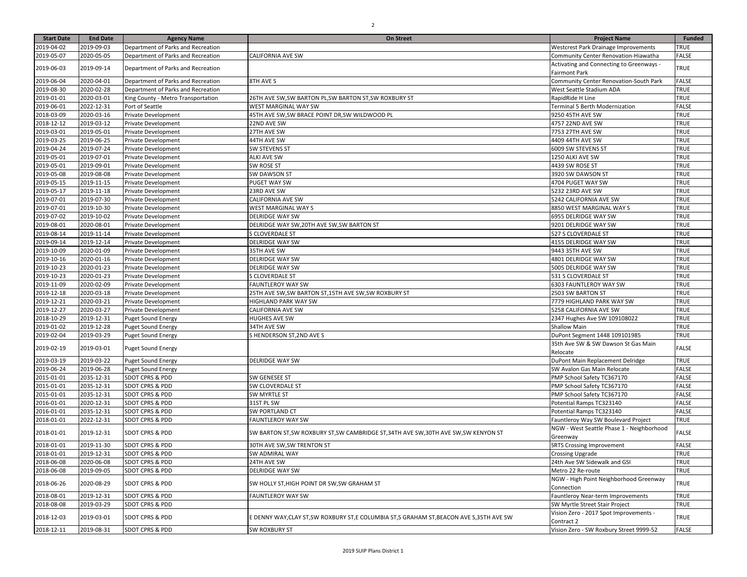| <b>Start Date</b> | <b>End Date</b> | <b>Agency Name</b>                 | <b>On Street</b>                                                                     | <b>Project Name</b>                                   | <b>Funded</b> |
|-------------------|-----------------|------------------------------------|--------------------------------------------------------------------------------------|-------------------------------------------------------|---------------|
| 2019-04-02        | 2019-09-03      | Department of Parks and Recreation |                                                                                      | Westcrest Park Drainage Improvements                  | TRUE          |
| 2019-05-07        | 2020-05-05      | Department of Parks and Recreation | <b>CALIFORNIA AVE SW</b>                                                             | Community Center Renovation-Hiawatha                  | <b>FALSE</b>  |
|                   |                 |                                    |                                                                                      | Activating and Connecting to Greenways -              |               |
| 2019-06-03        | 2019-09-14      | Department of Parks and Recreation |                                                                                      | <b>Fairmont Park</b>                                  | TRUE          |
| 2019-06-04        | 2020-04-01      | Department of Parks and Recreation | 8TH AVE S                                                                            | Community Center Renovation-South Park                | <b>FALSE</b>  |
| 2019-08-30        | 2020-02-28      | Department of Parks and Recreation |                                                                                      | West Seattle Stadium ADA                              | TRUE          |
| 2019-01-01        | 2020-03-01      | King County - Metro Transportation | 26TH AVE SW, SW BARTON PL, SW BARTON ST, SW ROXBURY ST                               | RapidRide H Line                                      | <b>TRUE</b>   |
| 2019-06-01        | 2022-12-31      | Port of Seattle                    | WEST MARGINAL WAY SW                                                                 | Terminal 5 Berth Modernization                        | <b>FALSE</b>  |
| 2018-03-09        | 2020-03-16      | Private Development                | 45TH AVE SW, SW BRACE POINT DR, SW WILDWOOD PL                                       | 9250 45TH AVE SW                                      | <b>TRUE</b>   |
| 2018-12-12        | 2019-03-12      | Private Development                | 22ND AVE SW                                                                          | 4757 22ND AVE SW                                      | <b>TRUE</b>   |
| 2019-03-01        | 2019-05-01      | Private Development                | 27TH AVE SW                                                                          | 7753 27TH AVE SW                                      | <b>TRUE</b>   |
| 2019-03-25        | 2019-06-25      | Private Development                | 44TH AVE SW                                                                          | 4409 44TH AVE SW                                      | <b>TRUE</b>   |
| 2019-04-24        | 2019-07-24      | Private Development                | <b>SW STEVENS ST</b>                                                                 | 6009 SW STEVENS ST                                    | <b>TRUE</b>   |
| 2019-05-01        | 2019-07-01      | Private Development                | <b>ALKI AVE SW</b>                                                                   | 1250 ALKI AVE SW                                      | <b>TRUE</b>   |
| 2019-05-01        | 2019-09-01      | Private Development                | SW ROSE ST                                                                           | 4439 SW ROSE ST                                       | <b>TRUE</b>   |
| 2019-05-08        | 2019-08-08      | Private Development                | SW DAWSON ST                                                                         | 3920 SW DAWSON ST                                     | <b>TRUE</b>   |
| 2019-05-15        | 2019-11-15      | Private Development                | PUGET WAY SW                                                                         | 4704 PUGET WAY SW                                     | TRUE          |
| 2019-05-17        |                 |                                    |                                                                                      |                                                       | <b>TRUE</b>   |
|                   | 2019-11-18      | Private Development                | 23RD AVE SW                                                                          | 5232 23RD AVE SW                                      |               |
| 2019-07-01        | 2019-07-30      | Private Development                | <b>CALIFORNIA AVE SW</b>                                                             | 5242 CALIFORNIA AVE SW                                | <b>TRUE</b>   |
| 2019-07-01        | 2019-10-30      | Private Development                | <b>WEST MARGINAL WAY S</b>                                                           | 8850 WEST MARGINAL WAY S                              | <b>TRUE</b>   |
| 2019-07-02        | 2019-10-02      | Private Development                | <b>DELRIDGE WAY SW</b>                                                               | 6955 DELRIDGE WAY SW                                  | <b>TRUE</b>   |
| 2019-08-01        | 2020-08-01      | Private Development                | DELRIDGE WAY SW, 20TH AVE SW, SW BARTON ST                                           | 9201 DELRIDGE WAY SW                                  | TRUE          |
| 2019-08-14        | 2019-11-14      | Private Development                | S CLOVERDALE ST                                                                      | 527 S CLOVERDALE ST                                   | <b>TRUE</b>   |
| 2019-09-14        | 2019-12-14      | Private Development                | <b>DELRIDGE WAY SW</b>                                                               | 4155 DELRIDGE WAY SW                                  | <b>TRUE</b>   |
| 2019-10-09        | 2020-01-09      | Private Development                | 35TH AVE SW                                                                          | 9443 35TH AVE SW                                      | <b>TRUE</b>   |
| 2019-10-16        | 2020-01-16      | Private Development                | <b>DELRIDGE WAY SW</b>                                                               | 4801 DELRIDGE WAY SW                                  | TRUE          |
| 2019-10-23        | 2020-01-23      | Private Development                | <b>DELRIDGE WAY SW</b>                                                               | 5005 DELRIDGE WAY SW                                  | <b>TRUE</b>   |
| 2019-10-23        | 2020-01-23      | Private Development                | <b>S CLOVERDALE ST</b>                                                               | 531 S CLOVERDALE ST                                   | TRUE          |
| 2019-11-09        | 2020-02-09      | Private Development                | <b>FAUNTLEROY WAY SW</b>                                                             | 6303 FAUNTLEROY WAY SW                                | <b>TRUE</b>   |
| 2019-12-18        | 2020-03-18      | Private Development                | 25TH AVE SW, SW BARTON ST, 15TH AVE SW, SW ROXBURY ST                                | 2503 SW BARTON ST                                     | TRUE          |
| 2019-12-21        | 2020-03-21      | Private Development                | <b>HIGHLAND PARK WAY SW</b>                                                          | 7779 HIGHLAND PARK WAY SW                             | <b>TRUE</b>   |
| 2019-12-27        | 2020-03-27      | Private Development                | <b>CALIFORNIA AVE SW</b>                                                             | 5258 CALIFORNIA AVE SW                                | <b>TRUE</b>   |
| 2018-10-29        | 2019-12-31      | <b>Puget Sound Energy</b>          | <b>HUGHES AVE SW</b>                                                                 | 2347 Hughes Ave SW 109108022                          | <b>TRUE</b>   |
| 2019-01-02        | 2019-12-28      | <b>Puget Sound Energy</b>          | 34TH AVE SW                                                                          | <b>Shallow Main</b>                                   | <b>TRUE</b>   |
| 2019-02-04        | 2019-03-29      | <b>Puget Sound Energy</b>          | S HENDERSON ST,2ND AVE S                                                             | DuPont Segment 1448 109101985                         | <b>TRUE</b>   |
|                   |                 |                                    |                                                                                      | 35th Ave SW & SW Dawson St Gas Main                   |               |
| 2019-02-19        | 2019-03-01      | <b>Puget Sound Energy</b>          |                                                                                      | Relocate                                              | <b>FALSE</b>  |
| 2019-03-19        | 2019-03-22      | <b>Puget Sound Energy</b>          | <b>DELRIDGE WAY SW</b>                                                               | DuPont Main Replacement Delridge                      | <b>TRUE</b>   |
| 2019-06-24        | 2019-06-28      | <b>Puget Sound Energy</b>          |                                                                                      | SW Avalon Gas Main Relocate                           | <b>FALSE</b>  |
| 2015-01-01        | 2035-12-31      | SDOT CPRS & PDD                    | SW GENESEE ST                                                                        | PMP School Safety TC367170                            | <b>FALSE</b>  |
| 2015-01-01        | 2035-12-31      | SDOT CPRS & PDD                    | SW CLOVERDALE ST                                                                     | PMP School Safety TC367170                            | <b>FALSE</b>  |
| 2015-01-01        | 2035-12-31      | SDOT CPRS & PDD                    | SW MYRTLE ST                                                                         | PMP School Safety TC367170                            | <b>FALSE</b>  |
| 2016-01-01        | 2020-12-31      | <b>SDOT CPRS &amp; PDD</b>         | 31ST PL SW                                                                           | Potential Ramps TC323140                              | <b>FALSE</b>  |
| 2016-01-01        | 2035-12-31      | SDOT CPRS & PDD                    | <b>SW PORTLAND CT</b>                                                                | Potential Ramps TC323140                              | <b>FALSE</b>  |
|                   |                 |                                    | <b>FAUNTLEROY WAY SW</b>                                                             |                                                       |               |
| 2018-01-01        | 2022-12-31      | SDOT CPRS & PDD                    |                                                                                      | Fauntleroy Way SW Boulevard Project                   | <b>TRUE</b>   |
| 2018-01-01        | 2019-12-31      | <b>SDOT CPRS &amp; PDD</b>         | SW BARTON ST, SW ROXBURY ST, SW CAMBRIDGE ST, 34TH AVE SW, 30TH AVE SW, SW KENYON ST | NGW - West Seattle Phase 1 - Neighborhood<br>Greenway | <b>FALSE</b>  |
| 2018-01-01        | 2019-11-30      | SDOT CPRS & PDD                    | 30TH AVE SW, SW TRENTON ST                                                           | <b>SRTS Crossing Improvement</b>                      | <b>FALSE</b>  |
| 2018-01-01        | 2019-12-31      | <b>SDOT CPRS &amp; PDD</b>         | <b>SW ADMIRAL WAY</b>                                                                | <b>Crossing Upgrade</b>                               | <b>TRUE</b>   |
| 2018-06-08        | 2020-06-08      | SDOT CPRS & PDD                    | 24TH AVE SW                                                                          | 24th Ave SW Sidewalk and GSI                          | <b>TRUE</b>   |
| 2018-06-08        | 2019-09-05      | SDOT CPRS & PDD                    | <b>DELRIDGE WAY SW</b>                                                               | Metro 22 Re-route                                     | TRUE          |
| 2018-06-26        | 2020-08-29      | <b>SDOT CPRS &amp; PDD</b>         | SW HOLLY ST, HIGH POINT DR SW, SW GRAHAM ST                                          | NGW - High Point Neighborhood Greenway<br>Connection  | TRUE          |
| 2018-08-01        | 2019-12-31      | <b>SDOT CPRS &amp; PDD</b>         | FAUNTLEROY WAY SW                                                                    |                                                       | <b>TRUE</b>   |
|                   |                 |                                    |                                                                                      | Fauntleroy Near-term Improvements                     |               |
| 2018-08-08        | 2019-03-29      | SDOT CPRS & PDD                    |                                                                                      | SW Myrtle Street Stair Project                        | TRUE          |
| 2018-12-03        | 2019-03-01      | SDOT CPRS & PDD                    | E DENNY WAY,CLAY ST,SW ROXBURY ST,E COLUMBIA ST,S GRAHAM ST,BEACON AVE S,35TH AVE SW | Vision Zero - 2017 Spot Improvements -<br>Contract 2  | TRUE          |
| 2018-12-11        | 2019-08-31      | SDOT CPRS & PDD                    | <b>SW ROXBURY ST</b>                                                                 | Vision Zero - SW Roxbury Street 9999-52               | <b>FALSE</b>  |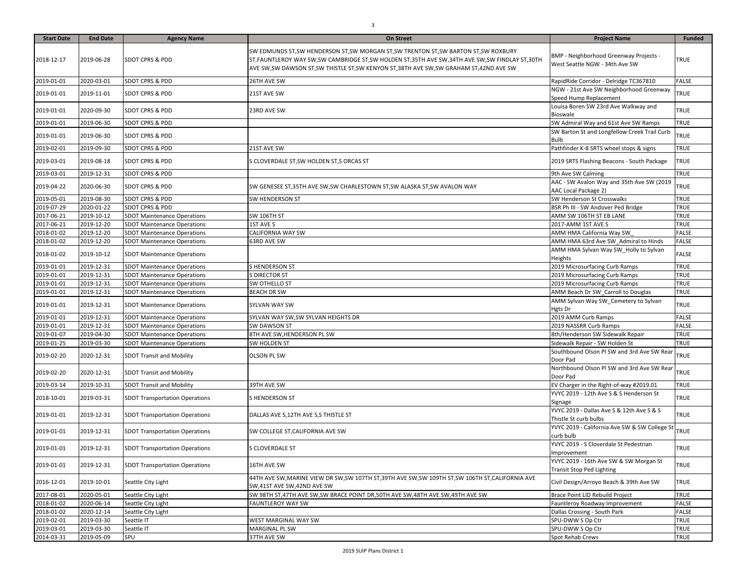| <b>Start Date</b> | <b>End Date</b> | <b>Agency Name</b>                    | <b>On Street</b>                                                                                                                                                                                                                                                                     | <b>Project Name</b>                                                        | <b>Funded</b> |
|-------------------|-----------------|---------------------------------------|--------------------------------------------------------------------------------------------------------------------------------------------------------------------------------------------------------------------------------------------------------------------------------------|----------------------------------------------------------------------------|---------------|
| 2018-12-17        | 2019-06-28      | <b>SDOT CPRS &amp; PDD</b>            | SW EDMUNDS ST,SW HENDERSON ST,SW MORGAN ST,SW TRENTON ST,SW BARTON ST,SW ROXBURY<br>ST, FAUNTLEROY WAY SW, SW CAMBRIDGE ST, SW HOLDEN ST, 35TH AVE SW, 34TH AVE SW, SW FINDLAY ST, 30TH<br>AVE SW, SW DAWSON ST, SW THISTLE ST, SW KENYON ST, 38TH AVE SW, SW GRAHAM ST, 42ND AVE SW | BMP - Neighborhood Greenway Projects -<br>West Seattle NGW - 34th Ave SW   | TRUE          |
| 2019-01-01        | 2020-03-01      | SDOT CPRS & PDD                       | 26TH AVE SW                                                                                                                                                                                                                                                                          | RapidRide Corridor - Delridge TC367810                                     | <b>FALSE</b>  |
| 2019-01-01        | 2019-11-01      | <b>SDOT CPRS &amp; PDD</b>            | 21ST AVE SW                                                                                                                                                                                                                                                                          | NGW - 21st Ave SW Neighborhood Greenway<br>Speed Hump Replacement          | TRUE          |
| 2019-01-01        | 2020-09-30      | <b>SDOT CPRS &amp; PDD</b>            | 23RD AVE SW                                                                                                                                                                                                                                                                          | Louisa Boren SW 23rd Ave Walkway and<br>Bioswale                           | TRUE          |
| 2019-01-01        | 2019-06-30      | SDOT CPRS & PDD                       |                                                                                                                                                                                                                                                                                      | SW Admiral Way and 61st Ave SW Ramps                                       | <b>TRUE</b>   |
| 2019-01-01        | 2019-06-30      | <b>SDOT CPRS &amp; PDD</b>            |                                                                                                                                                                                                                                                                                      | SW Barton St and Longfellow Creek Trail Curb<br><b>Bulb</b>                | TRUE          |
| 2019-02-01        | 2019-09-30      | SDOT CPRS & PDD                       | 21ST AVE SW                                                                                                                                                                                                                                                                          | Pathfinder K-8 SRTS wheel stops & signs                                    | <b>TRUE</b>   |
| 2019-03-01        | 2019-08-18      | <b>SDOT CPRS &amp; PDD</b>            | S CLOVERDALE ST, SW HOLDEN ST, S ORCAS ST                                                                                                                                                                                                                                            | 2019 SRTS Flashing Beacons - South Package                                 | <b>TRUE</b>   |
| 2019-03-01        | 2019-12-31      | SDOT CPRS & PDD                       |                                                                                                                                                                                                                                                                                      | 9th Ave SW Calming                                                         | <b>TRUE</b>   |
| 2019-04-22        | 2020-06-30      | SDOT CPRS & PDD                       | SW GENESEE ST,35TH AVE SW,SW CHARLESTOWN ST,SW ALASKA ST,SW AVALON WAY                                                                                                                                                                                                               | AAC - SW Avalon Way and 35th Ave SW (2019<br>AAC Local Package 2)          | TRUE          |
| 2019-05-01        | 2019-08-30      | SDOT CPRS & PDD                       | SW HENDERSON ST                                                                                                                                                                                                                                                                      | SW Henderson St Crosswalks                                                 | TRUE          |
| 2019-07-29        | 2020-01-22      | SDOT CPRS & PDD                       |                                                                                                                                                                                                                                                                                      | BSR Ph III - SW Andover Ped Bridge                                         | TRUE          |
| 2017-06-21        | 2019-10-12      | <b>SDOT Maintenance Operations</b>    | SW 106TH ST                                                                                                                                                                                                                                                                          | AMM SW 106TH ST EB LANE                                                    | <b>TRUE</b>   |
| 2017-06-21        | 2019-12-20      | <b>SDOT Maintenance Operations</b>    | 1ST AVE S                                                                                                                                                                                                                                                                            | 2017-AMM 1ST AVE S                                                         | TRUE          |
| 2018-01-02        | 2019-12-20      | <b>SDOT Maintenance Operations</b>    | CALIFORNIA WAY SW                                                                                                                                                                                                                                                                    | AMM HMA California Way SW                                                  | <b>FALSE</b>  |
| 2018-01-02        | 2019-12-20      | <b>SDOT Maintenance Operations</b>    | 63RD AVE SW                                                                                                                                                                                                                                                                          | AMM HMA 63rd Ave SW_Admiral to Hinds                                       | FALSE         |
| 2018-01-02        | 2019-10-12      | <b>SDOT Maintenance Operations</b>    |                                                                                                                                                                                                                                                                                      | AMM HMA Sylvan Way SW Holly to Sylvan<br>Heights                           | FALSE         |
| 2019-01-01        | 2019-12-31      | <b>SDOT Maintenance Operations</b>    | S HENDERSON ST                                                                                                                                                                                                                                                                       | 2019 Microsurfacing Curb Ramps                                             | TRUE          |
| 2019-01-01        | 2019-12-31      | <b>SDOT Maintenance Operations</b>    | S DIRECTOR ST                                                                                                                                                                                                                                                                        | 2019 Microsurfacing Curb Ramps                                             | TRUE          |
| 2019-01-01        | 2019-12-31      | <b>SDOT Maintenance Operations</b>    | SW OTHELLO ST                                                                                                                                                                                                                                                                        | 2019 Microsurfacing Curb Ramps                                             | TRUE          |
| 2019-01-01        | 2019-12-31      | <b>SDOT Maintenance Operations</b>    | <b>BEACH DR SW</b>                                                                                                                                                                                                                                                                   | AMM Beach Dr SW_Carroll to Douglas                                         | TRUE          |
| 2019-01-01        | 2019-12-31      | <b>SDOT Maintenance Operations</b>    | SYLVAN WAY SW                                                                                                                                                                                                                                                                        | AMM Sylvan Way SW_Cemetery to Sylvan<br>Hgts Dr                            | TRUE          |
| 2019-01-01        | 2019-12-31      | <b>SDOT Maintenance Operations</b>    | SYLVAN WAY SW, SW SYLVAN HEIGHTS DR                                                                                                                                                                                                                                                  | 2019 AMM Curb Ramps                                                        | FALSE         |
| 2019-01-01        | 2019-12-31      | <b>SDOT Maintenance Operations</b>    | SW DAWSON ST                                                                                                                                                                                                                                                                         | 2019 NASSRR Curb Ramps                                                     | FALSE         |
| 2019-01-07        | 2019-04-30      | <b>SDOT Maintenance Operations</b>    | 8TH AVE SW, HENDERSON PL SW                                                                                                                                                                                                                                                          | 8th/Henderson SW Sidewalk Repair                                           | TRUE          |
| 2019-01-25        | 2019-03-30      | <b>SDOT Maintenance Operations</b>    | SW HOLDEN ST                                                                                                                                                                                                                                                                         | Sidewalk Repair - SW Holden St                                             | TRUE          |
| 2019-02-20        | 2020-12-31      | <b>SDOT Transit and Mobility</b>      | OLSON PL SW                                                                                                                                                                                                                                                                          | Southbound Olson PI SW and 3rd Ave SW Rear<br>Door Pad                     | TRUE          |
| 2019-02-20        | 2020-12-31      | <b>SDOT Transit and Mobility</b>      |                                                                                                                                                                                                                                                                                      | Northbound Olson Pl SW and 3rd Ave SW Rear<br>Door Pad                     | TRUE          |
| 2019-03-14        | 2019-10-31      | <b>SDOT Transit and Mobility</b>      | 39TH AVE SW                                                                                                                                                                                                                                                                          | EV Charger in the Right-of-way #2019.01                                    | TRUE          |
| 2018-10-01        | 2019-03-31      | <b>SDOT Transportation Operations</b> | S HENDERSON ST                                                                                                                                                                                                                                                                       | YVYC 2019 - 12th Ave S & S Henderson St<br>Signage                         | TRUE          |
| 2019-01-01        | 2019-12-31      | <b>SDOT Transportation Operations</b> | DALLAS AVE S,12TH AVE S,S THISTLE ST                                                                                                                                                                                                                                                 | YVYC 2019 - Dallas Ave S & 12th Ave S & S<br>Thistle St curb bulbs         | TRUE          |
| 2019-01-01        | 2019-12-31      | <b>SDOT Transportation Operations</b> | SW COLLEGE ST, CALIFORNIA AVE SW                                                                                                                                                                                                                                                     | YVYC 2019 - California Ave SW & SW College St<br>curb bulb                 | TRUE          |
| 2019-01-01        | 2019-12-31      | <b>SDOT Transportation Operations</b> | S CLOVERDALE ST                                                                                                                                                                                                                                                                      | YVYC 2019 - S Cloverdale St Pedestrian<br>Improvement                      | TRUE          |
| 2019-01-01        | 2019-12-31      | <b>SDOT Transportation Operations</b> | 16TH AVE SW                                                                                                                                                                                                                                                                          | YVYC 2019 - 16th Ave SW & SW Morgan St<br><b>Transit Stop Ped Lighting</b> | TRUE          |
| 2016-12-01        | 2019-10-01      | Seattle City Light                    | 44TH AVE SW, MARINE VIEW DR SW, SW 107TH ST, 39TH AVE SW, SW 109TH ST, SW 106TH ST, CALIFORNIA AVE<br>SW,41ST AVE SW,42ND AVE SW                                                                                                                                                     | Civil Design/Arroyo Beach & 39th Ave SW                                    | TRUE          |
| 2017-08-01        | 2020-05-01      | Seattle City Light                    | SW 98TH ST,47TH AVE SW,SW BRACE POINT DR,50TH AVE SW,48TH AVE SW,49TH AVE SW                                                                                                                                                                                                         | Brace Point LID Rebuild Project                                            | <b>TRUE</b>   |
| 2018-01-02        | 2020-06-14      | Seattle City Light                    | FAUNTLEROY WAY SW                                                                                                                                                                                                                                                                    | Fauntleroy Roadway Improvement                                             | <b>FALSE</b>  |
| 2018-01-02        | 2020-12-14      | Seattle City Light                    |                                                                                                                                                                                                                                                                                      | Dallas Crossing - South Park                                               | <b>FALSE</b>  |
| 2019-02-01        | 2019-03-30      | Seattle IT                            | WEST MARGINAL WAY SW                                                                                                                                                                                                                                                                 | SPU-DWW S Op Ctr                                                           | <b>TRUE</b>   |
| 2019-03-01        | 2019-03-30      | Seattle IT                            | MARGINAL PL SW                                                                                                                                                                                                                                                                       | SPU-DWW S Op Ctr                                                           | <b>TRUE</b>   |
| 2014-03-31        | 2019-05-09      | SPU                                   | 37TH AVE SW                                                                                                                                                                                                                                                                          | Spot Rehab Crews                                                           | TRUE          |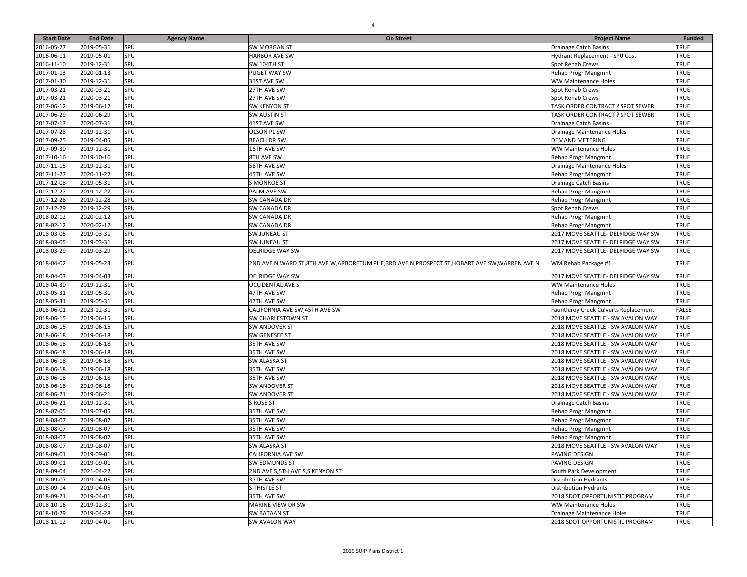| <b>Start Date</b> | <b>End Date</b> | <b>Agency Name</b> | <b>On Street</b>                                                                                   | <b>Project Name</b>                   | <b>Funded</b> |
|-------------------|-----------------|--------------------|----------------------------------------------------------------------------------------------------|---------------------------------------|---------------|
| 2016-05-27        | 2019-05-31      | SPU                | <b>SW MORGAN ST</b>                                                                                | Drainage Catch Basins                 | TRUE          |
| 2016-06-11        | 2019-05-01      | SPU                | <b>HARBOR AVE SW</b>                                                                               | Hydrant Replacement - SPU Cost        | TRUE          |
| 2016-11-10        | 2019-12-31      | SPU                | SW 104TH ST                                                                                        | Spot Rehab Crews                      | TRUE          |
| 2017-01-13        | 2020-01-13      | SPU                | PUGET WAY SW                                                                                       | Rehab Progr Mangmnt                   | TRUE          |
| 2017-01-30        | 2019-12-31      | SPU                | 31ST AVE SW                                                                                        | <b>WW Maintenance Holes</b>           | TRUE          |
| 2017-03-21        | 2020-03-21      | SPU                | 27TH AVE SW                                                                                        | Spot Rehab Crews                      | TRUE          |
| 2017-03-21        | 2020-03-21      | SPU                | 27TH AVE SW                                                                                        | Spot Rehab Crews                      | TRUE          |
| 2017-06-12        | 2019-06-12      | SPU                | <b>SW KENYON ST</b>                                                                                | TASK ORDER CONTRACT ? SPOT SEWER      | TRUE          |
| 2017-06-29        | 2020-06-29      | SPU                | SW AUSTIN ST                                                                                       | TASK ORDER CONTRACT ? SPOT SEWER      | TRUE          |
| 2017-07-17        | 2020-07-31      | SPU                | 41ST AVE SW                                                                                        | <b>Drainage Catch Basins</b>          | TRUE          |
| 2017-07-28        | 2019-12-31      | SPU                | OLSON PL SW                                                                                        | Drainage Maintenance Holes            | TRUE          |
| 2017-09-25        | 2019-04-05      | SPU                | <b>BEACH DR SW</b>                                                                                 | <b>DEMAND METERING</b>                | TRUE          |
| 2017-09-30        | 2019-12-31      | SPU                | 16TH AVE SW                                                                                        | <b>WW Maintenance Holes</b>           | TRUE          |
| 2017-10-16        | 2019-10-16      | SPU                | 8TH AVE SW                                                                                         | Rehab Progr Mangmnt                   | TRUE          |
| 2017-11-15        | 2019-12-31      | SPU                | 56TH AVE SW                                                                                        | Drainage Maintenance Holes            | TRUE          |
| 2017-11-27        | 2020-11-27      | SPU                | 45TH AVE SW                                                                                        | Rehab Progr Mangmnt                   | TRUE          |
| 2017-12-08        | 2019-05-31      | SPU                | <b>S MONROE ST</b>                                                                                 | Drainage Catch Basins                 | TRUE          |
| 2017-12-27        | 2019-12-27      | SPU                | PALM AVE SW                                                                                        | Rehab Progr Mangmnt                   | TRUE          |
| 2017-12-28        | 2019-12-28      | SPU                | SW CANADA DR                                                                                       | Rehab Progr Mangmnt                   | TRUE          |
| 2017-12-29        | 2019-12-29      | SPU                | SW CANADA DR                                                                                       | Spot Rehab Crews                      | TRUE          |
| 2018-02-12        | 2020-02-12      | SPU                | SW CANADA DR                                                                                       | Rehab Progr Mangmnt                   | TRUE          |
| 2018-02-12        | 2020-02-12      | SPU                | SW CANADA DR                                                                                       | Rehab Progr Mangmnt                   | TRUE          |
| 2018-03-05        | 2019-03-31      | SPU                | SW JUNEAU ST                                                                                       | 2017 MOVE SEATTLE- DELRIDGE WAY SW    | TRUE          |
| 2018-03-05        | 2019-03-31      | SPU                | <b>SW JUNEAU ST</b>                                                                                | 2017 MOVE SEATTLE- DELRIDGE WAY SW    | TRUE          |
| 2018-03-29        | 2019-03-29      | SPU                | <b>DELRIDGE WAY SW</b>                                                                             | 2017 MOVE SEATTLE- DELRIDGE WAY SW    | TRUE          |
| 2018-04-02        | 2019-05-23      | SPU                | 2ND AVE N, WARD ST, 8TH AVE W, ARBORETUM PL E, 3RD AVE N, PROSPECT ST, HOBART AVE SW, WARREN AVE N | WM Rehab Package #1                   | TRUE          |
| 2018-04-03        | 2019-04-03      | SPU                | <b>DELRIDGE WAY SW</b>                                                                             | 2017 MOVE SEATTLE- DELRIDGE WAY SW    | TRUE          |
| 2018-04-30        | 2019-12-31      | SPU                | <b>OCCIDENTAL AVE S</b>                                                                            | <b>WW Maintenance Holes</b>           | TRUE          |
| 2018-05-31        | 2019-05-31      | SPU                | 47TH AVE SW                                                                                        | Rehab Progr Mangmnt                   | <b>TRUE</b>   |
| 2018-05-31        | 2019-05-31      | SPU                | 47TH AVE SW                                                                                        | Rehab Progr Mangmnt                   | TRUE          |
| 2018-06-01        | 2023-12-31      | SPU                | CALIFORNIA AVE SW, 45TH AVE SW                                                                     | Fauntleroy Creek Culverts Replacement | FALSE         |
| 2018-06-15        | 2019-06-15      | SPU                | SW CHARLESTOWN ST                                                                                  | 2018 MOVE SEATTLE - SW AVALON WAY     | TRUE          |
| 2018-06-15        | 2019-06-15      | SPU                | <b>SW ANDOVER ST</b>                                                                               | 2018 MOVE SEATTLE - SW AVALON WAY     | TRUE          |
| 2018-06-18        | 2019-06-18      | SPU                | SW GENESEE ST                                                                                      | 2018 MOVE SEATTLE - SW AVALON WAY     | TRUE          |
| 2018-06-18        | 2019-06-18      | SPU                | 35TH AVE SW                                                                                        | 2018 MOVE SEATTLE - SW AVALON WAY     | TRUE          |
| 2018-06-18        | 2019-06-18      | SPU                | 35TH AVE SW                                                                                        | 2018 MOVE SEATTLE - SW AVALON WAY     | TRUE          |
| 2018-06-18        | 2019-06-18      | SPU                | <b>SW ALASKA ST</b>                                                                                | 2018 MOVE SEATTLE - SW AVALON WAY     | TRUE          |
| 2018-06-18        | 2019-06-18      | SPU                | 35TH AVE SW                                                                                        | 2018 MOVE SEATTLE - SW AVALON WAY     | TRUE          |
| 2018-06-18        | 2019-06-18      | SPU                | 35TH AVE SW                                                                                        | 2018 MOVE SEATTLE - SW AVALON WAY     | TRUE          |
| 2018-06-18        | 2019-06-18      | SPU                | SW ANDOVER ST                                                                                      | 2018 MOVE SEATTLE - SW AVALON WAY     | TRUE          |
| 2018-06-21        | 2019-06-21      | SPU                | SW ANDOVER ST                                                                                      | 2018 MOVE SEATTLE - SW AVALON WAY     | TRUE          |
| 2018-06-21        | 2019-12-31      | SPU                | S ROSE ST                                                                                          | <b>Drainage Catch Basins</b>          | TRUE          |
| 2018-07-05        | 2019-07-05      | SPU                | 35TH AVE SW                                                                                        | Rehab Progr Mangmnt                   | TRUE          |
| 2018-08-07        | 2019-08-07      | SPU                | 35TH AVE SW                                                                                        | Rehab Progr Mangmnt                   | TRUE          |
| 2018-08-07        | 2019-08-07      | SPU                | 35TH AVE SW                                                                                        | Rehab Progr Mangmnt                   | TRUE          |
| 2018-08-07        | 2019-08-07      | SPU                | 35TH AVE SW                                                                                        | Rehab Progr Mangmnt                   | TRUE          |
| 2018-08-07        | 2019-08-07      | SPU                | <b>SW ALASKA ST</b>                                                                                | 2018 MOVE SEATTLE - SW AVALON WAY     | TRUE          |
| 2018-09-01        | 2019-09-01      | SPU                | CALIFORNIA AVE SW                                                                                  | PAVING DESIGN                         | TRUE          |
| 2018-09-01        | 2019-09-01      | SPU                | <b>SW EDMUNDS ST</b>                                                                               | PAVING DESIGN                         | TRUE          |
| 2018-09-04        | 2021-04-22      | SPU                | 2ND AVE S, 5TH AVE S, S KENYON ST                                                                  | South Park Development                | TRUE          |
| 2018-09-07        | 2019-04-05      | SPU                | 37TH AVE SW                                                                                        | <b>Distribution Hydrants</b>          | TRUE          |
| 2018-09-14        | 2019-04-05      | SPU                | S THISTLE ST                                                                                       | <b>Distribution Hydrants</b>          | TRUE          |
| 2018-09-21        | 2019-04-01      | SPU                | 35TH AVE SW                                                                                        | 2018 SDOT OPPORTUNISTIC PROGRAM       | TRUE          |
| 2018-10-16        | 2019-12-31      | SPU                | MARINE VIEW DR SW                                                                                  | <b>WW Maintenance Holes</b>           | TRUE          |
| 2018-10-29        | 2019-04-28      | SPU                | <b>SW BATAAN ST</b>                                                                                | Drainage Maintenance Holes            | TRUE          |
| 2018-11-12        | 2019-04-01      | SPU                | SW AVALON WAY                                                                                      | 2018 SDOT OPPORTUNISTIC PROGRAM       | TRUE          |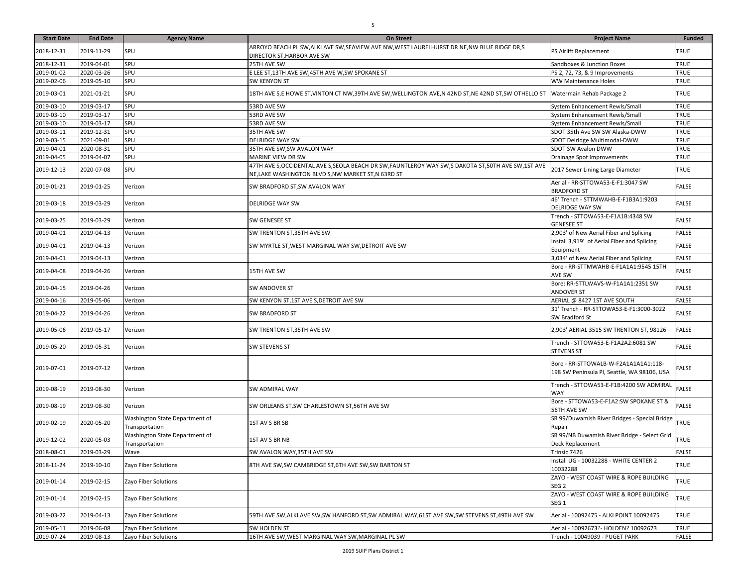| <b>Start Date</b> | <b>End Date</b> | <b>Agency Name</b>                               | On Street                                                                                                                                                 | <b>Project Name</b>                                                                 | <b>Funded</b> |
|-------------------|-----------------|--------------------------------------------------|-----------------------------------------------------------------------------------------------------------------------------------------------------------|-------------------------------------------------------------------------------------|---------------|
| 2018-12-31        | 2019-11-29      | SPU                                              | ARROYO BEACH PL SW, ALKI AVE SW, SEAVIEW AVE NW, WEST LAURELHURST DR NE, NW BLUE RIDGE DR, S<br>DIRECTOR ST, HARBOR AVE SW                                | PS Airlift Replacement                                                              | TRUE          |
| 2018-12-31        | 2019-04-01      | SPU                                              | 25TH AVE SW                                                                                                                                               | Sandboxes & Junction Boxes                                                          | <b>TRUE</b>   |
| 2019-01-02        | 2020-03-26      | SPU                                              | E LEE ST, 13TH AVE SW, 45TH AVE W, SW SPOKANE ST                                                                                                          | PS 2, 72, 73, & 9 Improvements                                                      | <b>TRUE</b>   |
| 2019-02-06        | 2019-05-10      | SPU                                              | SW KENYON ST                                                                                                                                              | WW Maintenance Holes                                                                | <b>TRUE</b>   |
| 2019-03-01        | 2021-01-21      | SPU                                              | 18TH AVE S,E HOWE ST,VINTON CT NW,39TH AVE SW,WELLINGTON AVE,N 42ND ST,NE 42ND ST,SW OTHELLO ST                                                           | Watermain Rehab Package 2                                                           | <b>TRUE</b>   |
| 2019-03-10        | 2019-03-17      | SPU                                              | 53RD AVE SW                                                                                                                                               | System Enhancement Rewls/Small                                                      | TRUE          |
| 2019-03-10        | 2019-03-17      | SPU                                              | 53RD AVE SW                                                                                                                                               | System Enhancement Rewls/Small                                                      | <b>TRUE</b>   |
| 2019-03-10        | 2019-03-17      | SPU                                              | 53RD AVE SW                                                                                                                                               | System Enhancement Rewls/Small                                                      | <b>TRUE</b>   |
| 2019-03-11        | 2019-12-31      | SPU                                              | 35TH AVE SW                                                                                                                                               | SDOT 35th Ave SW SW Alaska-DWW                                                      | <b>TRUE</b>   |
| 2019-03-15        | 2021-09-01      | SPU                                              | <b>DELRIDGE WAY SW</b>                                                                                                                                    | SDOT Delridge Multimodal-DWW                                                        | TRUE          |
| 2019-04-01        | 2020-08-31      | SPU                                              | 35TH AVE SW, SW AVALON WAY                                                                                                                                | SDOT SW Avalon DWW                                                                  | <b>TRUE</b>   |
| 2019-04-05        | 2019-04-07      | SPU                                              | MARINE VIEW DR SW                                                                                                                                         | Drainage Spot Improvements                                                          | <b>TRUE</b>   |
| 2019-12-13        | 2020-07-08      | SPU                                              | 47TH AVE S, OCCIDENTAL AVE S, SEOLA BEACH DR SW, FAUNTLEROY WAY SW, S DAKOTA ST, 50TH AVE SW, 1ST AVE<br>NE,LAKE WASHINGTON BLVD S,NW MARKET ST,N 63RD ST | 2017 Sewer Lining Large Diameter                                                    | <b>TRUE</b>   |
| 2019-01-21        | 2019-01-25      | Verizon                                          | SW BRADFORD ST,SW AVALON WAY                                                                                                                              | Aerial - RR-STTOWA53-E-F1:3047 SW<br><b>BRADFORD ST</b>                             | <b>FALSE</b>  |
| 2019-03-18        | 2019-03-29      | Verizon                                          | <b>DELRIDGE WAY SW</b>                                                                                                                                    | 46' Trench - STTMWAHB-E-F1B3A1:9203<br><b>DELRIDGE WAY SW</b>                       | <b>FALSE</b>  |
| 2019-03-25        | 2019-03-29      | Verizon                                          | SW GENESEE ST                                                                                                                                             | Trench - STTOWA53-E-F1A1B:4348 SW<br><b>GENESEE ST</b>                              | <b>FALSE</b>  |
| 2019-04-01        | 2019-04-13      | Verizon                                          | SW TRENTON ST,35TH AVE SW                                                                                                                                 | 2,903' of New Aerial Fiber and Splicing                                             | <b>FALSE</b>  |
| 2019-04-01        | 2019-04-13      | Verizon                                          | SW MYRTLE ST, WEST MARGINAL WAY SW, DETROIT AVE SW                                                                                                        | Install 3,919' of Aerial Fiber and Splicing<br>Equipment                            | <b>FALSE</b>  |
| 2019-04-01        | 2019-04-13      | Verizon                                          |                                                                                                                                                           | 3,034' of New Aerial Fiber and Splicing                                             | <b>FALSE</b>  |
| 2019-04-08        | 2019-04-26      | Verizon                                          | 15TH AVE SW                                                                                                                                               | Bore - RR-STTMWAHB-E-F1A1A1:9545 15TH<br>AVE SW                                     | <b>FALSE</b>  |
| 2019-04-15        | 2019-04-26      | Verizon                                          | SW ANDOVER ST                                                                                                                                             | Bore: RR-STTLWAVS-W-F1A1A1:2351 SW<br>ANDOVER ST                                    | FALSE         |
| 2019-04-16        | 2019-05-06      | Verizon                                          | SW KENYON ST,1ST AVE S,DETROIT AVE SW                                                                                                                     | AERIAL @ 8427 1ST AVE SOUTH                                                         | <b>FALSE</b>  |
| 2019-04-22        | 2019-04-26      | Verizon                                          | SW BRADFORD ST                                                                                                                                            | 31' Trench - RR-STTOWA53-E-F1:3000-3022<br>SW Bradford St                           | FALSE         |
| 2019-05-06        | 2019-05-17      | Verizon                                          | SW TRENTON ST,35TH AVE SW                                                                                                                                 | 2,903' AERIAL 3515 SW TRENTON ST, 98126                                             | <b>FALSE</b>  |
| 2019-05-20        | 2019-05-31      | Verizon                                          | SW STEVENS ST                                                                                                                                             | Trench - STTOWA53-E-F1A2A2:6081 SW<br><b>STEVENS ST</b>                             | <b>FALSE</b>  |
| 2019-07-01        | 2019-07-12      | Verizon                                          |                                                                                                                                                           | Bore - RR-STTOWALB-W-F2A1A1A1A1:118-<br>198 SW Peninsula Pl, Seattle, WA 98106, USA | FALSE         |
| 2019-08-19        | 2019-08-30      | Verizon                                          | SW ADMIRAL WAY                                                                                                                                            | Trench - STTOWA53-E-F1B:4200 SW ADMIRAL<br><b>WAY</b>                               | FALSE         |
| 2019-08-19        | 2019-08-30      | Verizon                                          | SW ORLEANS ST, SW CHARLESTOWN ST, 56TH AVE SW                                                                                                             | Bore - STTOWA53-E-F1A2:SW SPOKANE ST &<br>56TH AVE SW                               | <b>FALSE</b>  |
| 2019-02-19        | 2020-05-20      | Washington State Department of<br>Transportation | 1ST AV S BR SB                                                                                                                                            | SR 99/Duwamish River Bridges - Special Bridge<br>Repair                             | <b>TRUE</b>   |
| 2019-12-02        | 2020-05-03      | Washington State Department of<br>Transportation | 1ST AV S BR NB                                                                                                                                            | SR 99/NB Duwamish River Bridge - Select Grid<br>Deck Replacement                    | TRUE          |
| 2018-08-01        | 2019-03-29      | Wave                                             | SW AVALON WAY, 35TH AVE SW                                                                                                                                | Trinsic 7426                                                                        | <b>FALSE</b>  |
| 2018-11-24        | 2019-10-10      | Zayo Fiber Solutions                             | 8TH AVE SW, SW CAMBRIDGE ST, 6TH AVE SW, SW BARTON ST                                                                                                     | Install UG - 10032288 - WHITE CENTER 2<br>10032288                                  | <b>TRUE</b>   |
| 2019-01-14        | 2019-02-15      | Zayo Fiber Solutions                             |                                                                                                                                                           | ZAYO - WEST COAST WIRE & ROPE BUILDING<br>SEG 2                                     | TRUE          |
| 2019-01-14        | 2019-02-15      | Zayo Fiber Solutions                             |                                                                                                                                                           | ZAYO - WEST COAST WIRE & ROPE BUILDING<br>SEG <sub>1</sub>                          | TRUE          |
| 2019-03-22        | 2019-04-13      | Zayo Fiber Solutions                             | 59TH AVE SW,ALKI AVE SW,SW HANFORD ST,SW ADMIRAL WAY,61ST AVE SW,SW STEVENS ST,49TH AVE SW                                                                | Aerial - 10092475 - ALKI POINT 10092475                                             | TRUE          |
| 2019-05-11        | 2019-06-08      | Zayo Fiber Solutions                             | SW HOLDEN ST                                                                                                                                              | Aerial - 10092673?- HOLDEN? 10092673                                                | <b>TRUE</b>   |
| 2019-07-24        | 2019-08-13      | Zayo Fiber Solutions                             | 16TH AVE SW, WEST MARGINAL WAY SW, MARGINAL PL SW                                                                                                         | Trench - 10049039 - PUGET PARK                                                      | <b>FALSE</b>  |